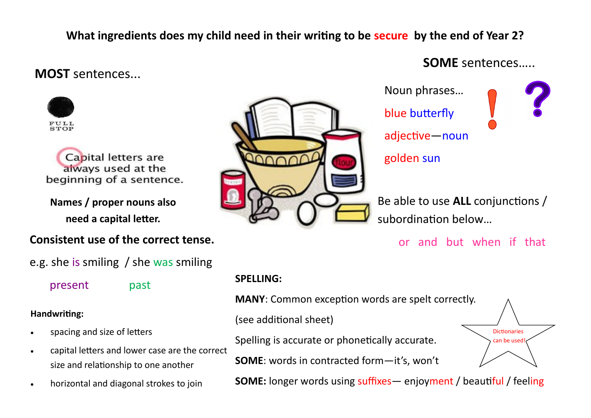## **What ingredients does my child need in their writing to be secure by the end of Year 2?**

## **MOST** sentences...



Capital letters are always used at the beginning of a sentence.

**Names / proper nouns also need a capital letter.**

### **Consistent use of the correct tense.**

## e.g. she is smiling / she was smiling

present past

#### **Handwriting:**

- spacing and size of letters
- capital letters and lower case are the correct size and relationship to one another
- horizontal and diagonal strokes to join



# **SOME** sentences…..

Noun phrases… blue butterfly adjective—noun golden sun

Be able to use **ALL** conjunctions / subordination below…

or and but when if that

### **SPELLING:**

**MANY**: Common exception words are spelt correctly.

(see additional sheet)

Spelling is accurate or phonetically accurate.

**SOME**: words in contracted form—it's, won't

Dictionaries can be used!

**SOME:** longer words using suffixes – enjoyment / beautiful / feeling